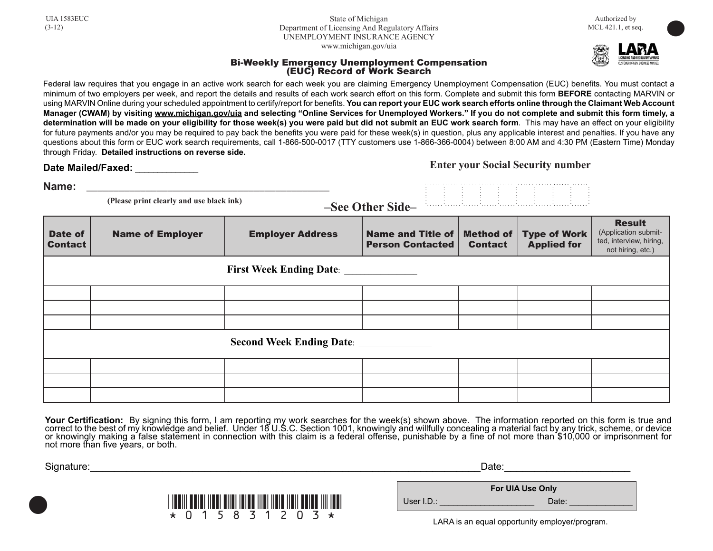State of Michigan Department of Licensing And Regulatory Affairs UNEMPLOYMENT INSURANCE AGENCY www.michigan.gov/uia



**•** 

## Bi-Weekly Emergency Unemployment Compensation (EUC) Record of Work Search

Federal law requires that you engage in an active work search for each week you are claiming Emergency Unemployment Compensation (EUC) benefits. You must contact a minimum of two employers per week, and report the details and results of each work search effort on this form. Complete and submit this form **BEFORE** contacting MARVIN or using MARVIN Online during your scheduled appointment to certify/report for beneits. **You can report your EUC work search efforts online through the Claimant Web Account Manager (CWAM) by visiting www.michigan.gov/uia and selecting "Online Services for Unemployed Workers." If you do not complete and submit this form timely, a determination will be made on your eligibility for those week(s) you were paid but did not submit an EUC work search form**. This may have an effect on your eligibility for future payments and/or you may be required to pay back the benefits you were paid for these week(s) in question, plus any applicable interest and penalties. If you have any questions about this form or EUC work search requirements, call 1-866-500-0017 (TTY customers use 1-866-366-0004) between 8:00 AM and 4:30 PM (Eastern Time) Monday through Friday. **Detailed instructions on reverse side.**

Date Mailed/Faxed:

**Enter your Social Security number**

. . . . . .

. . . . . .

. . . . . . . . . . . .

. . . . . .

. . . . . .

. . . . . . . . . . . .

. . . . . .

. . . . . . . . . . . . . . . . . . . . . . . . . . . . . .

. . . . . .

. . . . . .

. . . . . .

. . . . . .

 **(Please print clearly and use black ink) Name:** \_\_\_\_\_\_\_\_\_\_\_\_\_\_\_\_\_\_\_\_\_\_\_\_\_\_\_\_\_\_\_\_\_\_\_\_\_\_\_\_\_\_\_\_\_

**–See Other Side–**

| Date of<br><b>Contact</b>       | <b>Name of Employer</b> | <b>Employer Address</b> | Name and Title of<br><b>Person Contacted</b> | <b>Method of</b><br><b>Contact</b> | <b>Type of Work</b><br><b>Applied for</b> | <b>Result</b><br>(Application submit-<br>ted, interview, hiring,<br>not hiring, etc.) |  |  |
|---------------------------------|-------------------------|-------------------------|----------------------------------------------|------------------------------------|-------------------------------------------|---------------------------------------------------------------------------------------|--|--|
|                                 |                         |                         |                                              |                                    |                                           |                                                                                       |  |  |
|                                 |                         |                         |                                              |                                    |                                           |                                                                                       |  |  |
|                                 |                         |                         |                                              |                                    |                                           |                                                                                       |  |  |
|                                 |                         |                         |                                              |                                    |                                           |                                                                                       |  |  |
| <b>Second Week Ending Date:</b> |                         |                         |                                              |                                    |                                           |                                                                                       |  |  |
|                                 |                         |                         |                                              |                                    |                                           |                                                                                       |  |  |
|                                 |                         |                         |                                              |                                    |                                           |                                                                                       |  |  |
|                                 |                         |                         |                                              |                                    |                                           |                                                                                       |  |  |

Your Certification: By signing this form, I am reporting my work searches for the week(s) shown above. The information reported on this form is true and correct to the best of my knowledge and belief. Under 18 U.S.C. Section 1001, knowingly and willfully concealing a material fact by any trick, scheme, or device or knowingly making a false statement in connection with this claim is a federal offense, punishable by a ine of not more than \$10,000 or imprisonment for not more than five years, or both.

| Signature: |                                                                                                                  | Date:        |                                                                             |  |
|------------|------------------------------------------------------------------------------------------------------------------|--------------|-----------------------------------------------------------------------------|--|
|            | <u>i Indiil mutul Ilaal allal talaa Illal Ilala Ilali aallaa Illi taali</u><br>$\star$ 0 1 5 8 3 1 2 0 3 $\star$ | User $I.D.:$ | For UIA Use Only<br>Date:<br>LARA is an equal opportunity employer/program. |  |